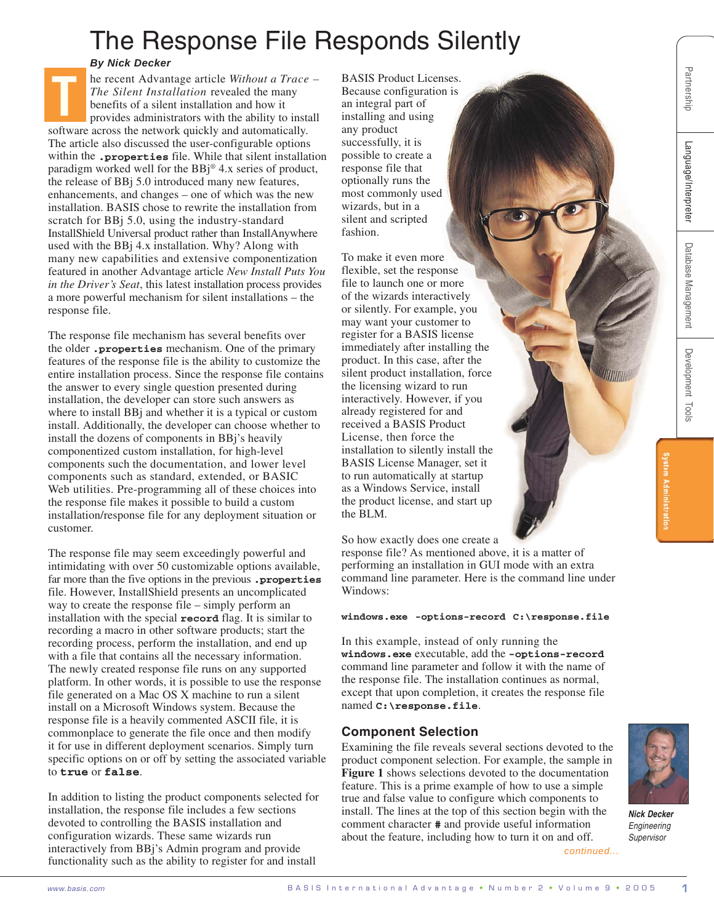# The Response File Responds Silently

## *By Nick Decker*

B A S **www.basis.com** I n the bigger of the state of the state of the result of the state of the state of the state of the state of the state of the state of the state of the state of the state of the state of the state o he recent Advantage article *Without a Trace – The Silent Installation* revealed the many benefits of a silent installation and how it provides administrators with the ability to install software across the network quickly and automatically. The article also discussed the user-configurable options within the **.properties** file. While that silent installation paradigm worked well for the BBj® 4.x series of product, the release of BBj 5.0 introduced many new features, enhancements, and changes – one of which was the new installation. BASIS chose to rewrite the installation from scratch for BBj 5.0, using the industry-standard InstallShield Universal product rather than InstallAnywhere used with the BBj 4.x installation. Why? Along with many new capabilities and extensive componentization featured in another Advantage article *New Install Puts You in the Driver's Seat*, this latest installation process provides a more powerful mechanism for silent installations – the response file. **T**

The response file mechanism has several benefits over the older **.properties** mechanism. One of the primary features of the response file is the ability to customize the entire installation process. Since the response file contains the answer to every single question presented during installation, the developer can store such answers as where to install BBj and whether it is a typical or custom install. Additionally, the developer can choose whether to install the dozens of components in BBj's heavily componentized custom installation, for high-level components such the documentation, and lower level components such as standard, extended, or BASIC Web utilities. Pre-programming all of these choices into the response file makes it possible to build a custom installation/response file for any deployment situation or customer.

The response file may seem exceedingly powerful and intimidating with over 50 customizable options available, far more than the five options in the previous **.properties** file. However, InstallShield presents an uncomplicated way to create the response file – simply perform an installation with the special **record** flag. It is similar to recording a macro in other software products; start the recording process, perform the installation, and end up with a file that contains all the necessary information. The newly created response file runs on any supported platform. In other words, it is possible to use the response file generated on a Mac OS X machine to run a silent install on a Microsoft Windows system. Because the response file is a heavily commented ASCII file, it is commonplace to generate the file once and then modify it for use in different deployment scenarios. Simply turn specific options on or off by setting the associated variable to **true** or **false**.

In addition to listing the product components selected for installation, the response file includes a few sections devoted to controlling the BASIS installation and configuration wizards. These same wizards run interactively from BBj's Admin program and provide functionality such as the ability to register for and install

BASIS Product Licenses. Because configuration is an integral part of installing and using any product successfully, it is possible to create a response file that optionally runs the most commonly used wizards, but in a silent and scripted fashion.

To make it even more flexible, set the response file to launch one or more of the wizards interactively or silently. For example, you may want your customer to register for a BASIS license immediately after installing the product. In this case, after the silent product installation, force the licensing wizard to run interactively. However, if you already registered for and received a BASIS Product License, then force the installation to silently install the BASIS License Manager, set it to run automatically at startup as a Windows Service, install the product license, and start up the BLM.

So how exactly does one create a

response file? As mentioned above, it is a matter of performing an installation in GUI mode with an extra command line parameter. Here is the command line under Windows:

#### **windows.exe -options-record C:\response.file**

In this example, instead of only running the **windows.exe** executable, add the **-options-record** command line parameter and follow it with the name of the response file. The installation continues as normal, except that upon completion, it creates the response file named **C:\response.file**.

# **Component Selection**

Examining the file reveals several sections devoted to the product component selection. For example, the sample in **Figure 1** shows selections devoted to the documentation feature. This is a prime example of how to use a simple true and false value to configure which components to install. The lines at the top of this section begin with the comment character **#** and provide useful information about the feature, including how to turn it on and off. *continued...*

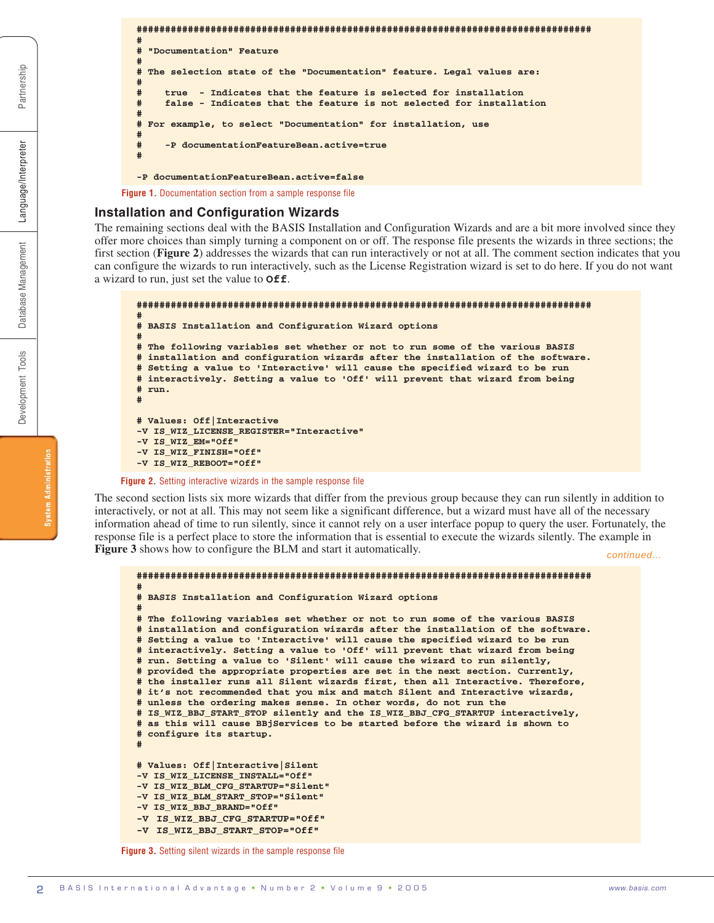```
################################################################################
#
# "Documentation" Feature
#
# The selection state of the "Documentation" feature. Legal values are:
#
     # true - Indicates that the feature is selected for installation
     # false - Indicates that the feature is not selected for installation
#
# For example, to select "Documentation" for installation, use
#
     # -P documentationFeatureBean.active=true
#
-P documentationFeatureBean.active=false
```
**Figure 1.** Documentation section from a sample response file

#### **Installation and Configuration Wizards**

The remaining sections deal with the BASIS Installation and Configuration Wizards and are a bit more involved since they offer more choices than simply turning a component on or off. The response file presents the wizards in three sections; the first section (**Figure 2**) addresses the wizards that can run interactively or not at all. The comment section indicates that you can configure the wizards to run interactively, such as the License Registration wizard is set to do here. If you do not want a wizard to run, just set the value to **Off**.

```
################################################################################
#
# BASIS Installation and Configuration Wizard options
#
# The following variables set whether or not to run some of the various BASIS
# installation and configuration wizards after the installation of the software.
# Setting a value to 'Interactive' will cause the specified wizard to be run
# interactively. Setting a value to 'Off' will prevent that wizard from being
# run.
#
# Values: Off|Interactive
-V IS_WIZ_LICENSE_REGISTER="Interactive"
-V IS_WIZ_EM="Off"
-V IS_WIZ_FINISH="Off"
-V IS_WIZ_REBOOT="Off"
```
**Figure 2.** Setting interactive wizards in the sample response file

The second section lists six more wizards that differ from the previous group because they can run silently in addition to interactively, or not at all. This may not seem like a significant difference, but a wizard must have all of the necessary information ahead of time to run silently, since it cannot rely on a user interface popup to query the user. Fortunately, the response file is a perfect place to store the information that is essential to execute the wizards silently. The example in **Figure 3** shows how to configure the BLM and start it automatically.

*continued...*

```
################################################################################
#
# BASIS Installation and Configuration Wizard options
#
# The following variables set whether or not to run some of the various BASIS
# installation and configuration wizards after the installation of the software.
# Setting a value to 'Interactive' will cause the specified wizard to be run
# interactively. Setting a value to 'Off' will prevent that wizard from being
# run. Setting a value to 'Silent' will cause the wizard to run silently,
# provided the appropriate properties are set in the next section. Currently,
# the installer runs all Silent wizards first, then all Interactive. Therefore,
# it's not recommended that you mix and match Silent and Interactive wizards,
# unless the ordering makes sense. In other words, do not run the
# IS_WIZ_BBJ_START_STOP silently and the IS_WIZ_BBJ_CFG_STARTUP interactively,
# as this will cause BBjServices to be started before the wizard is shown to
# configure its startup.
#
# Values: Off|Interactive|Silent
-V IS_WIZ_LICENSE_INSTALL="Off"
-V IS_WIZ_BLM_CFG_STARTUP="Silent"
-V IS_WIZ_BLM_START_STOP="Silent"
-V IS_WIZ_BBJ_BRAND="Off"
-V IS_WIZ_BBJ_CFG_STARTUP="Off"
-V IS_WIZ_BBJ_START_STOP="Off"
```
**Figure 3.** Setting silent wizards in the sample response file

Partnership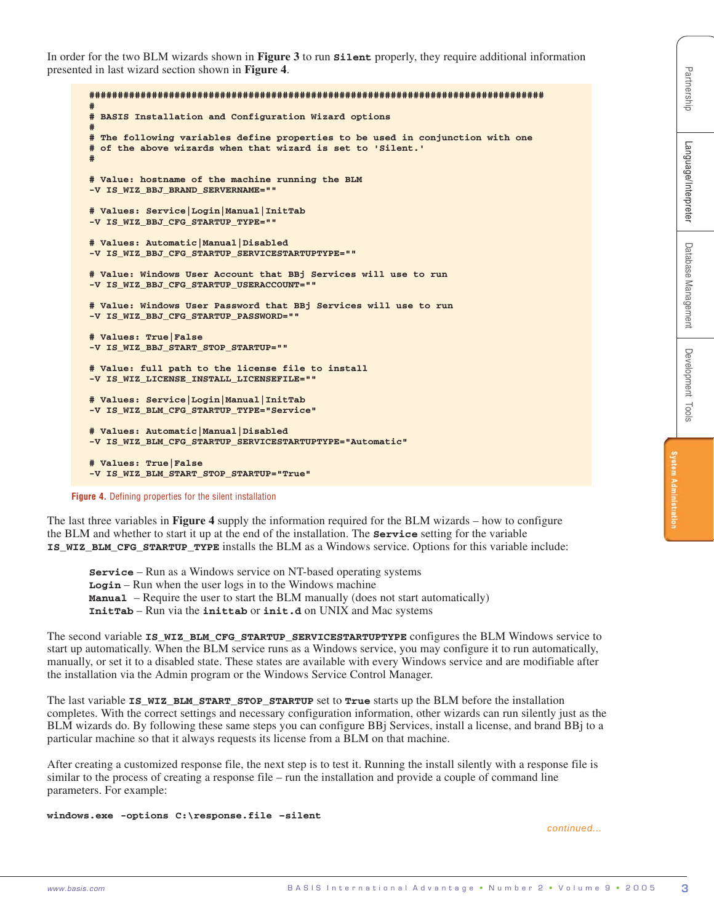In order for the two BLM wizards shown in **Figure 3** to run **Silent** properly, they require additional information presented in last wizard section shown in **Figure 4**.

```
From the results of the results of the results of the results of the results of the results of the results of the results of the results of the results of the results of the results of the results of the results of the re
       ################################################################################
        #
       # BASIS Installation and Configuration Wizard options
        #
       # The following variables define properties to be used in conjunction with one
       # of the above wizards when that wizard is set to 'Silent.'
        #
       # Value: hostname of the machine running the BLM
       -V IS_WIZ_BBJ_BRAND_SERVERNAME=""
       # Values: Service|Login|Manual|InitTab
       -V IS_WIZ_BBJ_CFG_STARTUP_TYPE=""
       # Values: Automatic|Manual|Disabled
       -V IS_WIZ_BBJ_CFG_STARTUP_SERVICESTARTUPTYPE=""
       # Value: Windows User Account that BBj Services will use to run
       -V IS_WIZ_BBJ_CFG_STARTUP_USERACCOUNT=""
       # Value: Windows User Password that BBj Services will use to run
       -V IS_WIZ_BBJ_CFG_STARTUP_PASSWORD=""
       # Values: True|False
       -V IS_WIZ_BBJ_START_STOP_STARTUP=""
       # Value: full path to the license file to install
       -V IS_WIZ_LICENSE_INSTALL_LICENSEFILE=""
       # Values: Service|Login|Manual|InitTab
       -V IS_WIZ_BLM_CFG_STARTUP_TYPE="Service"
       # Values: Automatic|Manual|Disabled
       -V IS_WIZ_BLM_CFG_STARTUP_SERVICESTARTUPTYPE="Automatic"
       # Values: True|False
       -V IS_WIZ_BLM_START_STOP_STARTUP="True"
```
**Figure 4.** Defining properties for the silent installation

The last three variables in **Figure 4** supply the information required for the BLM wizards – how to configure the BLM and whether to start it up at the end of the installation. The **Service** setting for the variable **IS\_WIZ\_BLM\_CFG\_STARTUP\_TYPE** installs the BLM as a Windows service. Options for this variable include:

**Service** – Run as a Windows service on NT-based operating systems **Login** – Run when the user logs in to the Windows machine **Manual** – Require the user to start the BLM manually (does not start automatically) **InitTab** – Run via the **inittab** or **init.d** on UNIX and Mac systems

The second variable **IS\_WIZ\_BLM\_CFG\_STARTUP\_SERVICESTARTUPTYPE** configures the BLM Windows service to start up automatically. When the BLM service runs as a Windows service, you may configure it to run automatically, manually, or set it to a disabled state. These states are available with every Windows service and are modifiable after the installation via the Admin program or the Windows Service Control Manager.

The last variable **IS WIZ BLM START STOP STARTUP** set to **True** starts up the BLM before the installation completes. With the correct settings and necessary configuration information, other wizards can run silently just as the BLM wizards do. By following these same steps you can configure BBj Services, install a license, and brand BBj to a particular machine so that it always requests its license from a BLM on that machine.

After creating a customized response file, the next step is to test it. Running the install silently with a response file is similar to the process of creating a response file – run the installation and provide a couple of command line parameters. For example:

**windows.exe -options C:\response.file –silent**

*continued...*